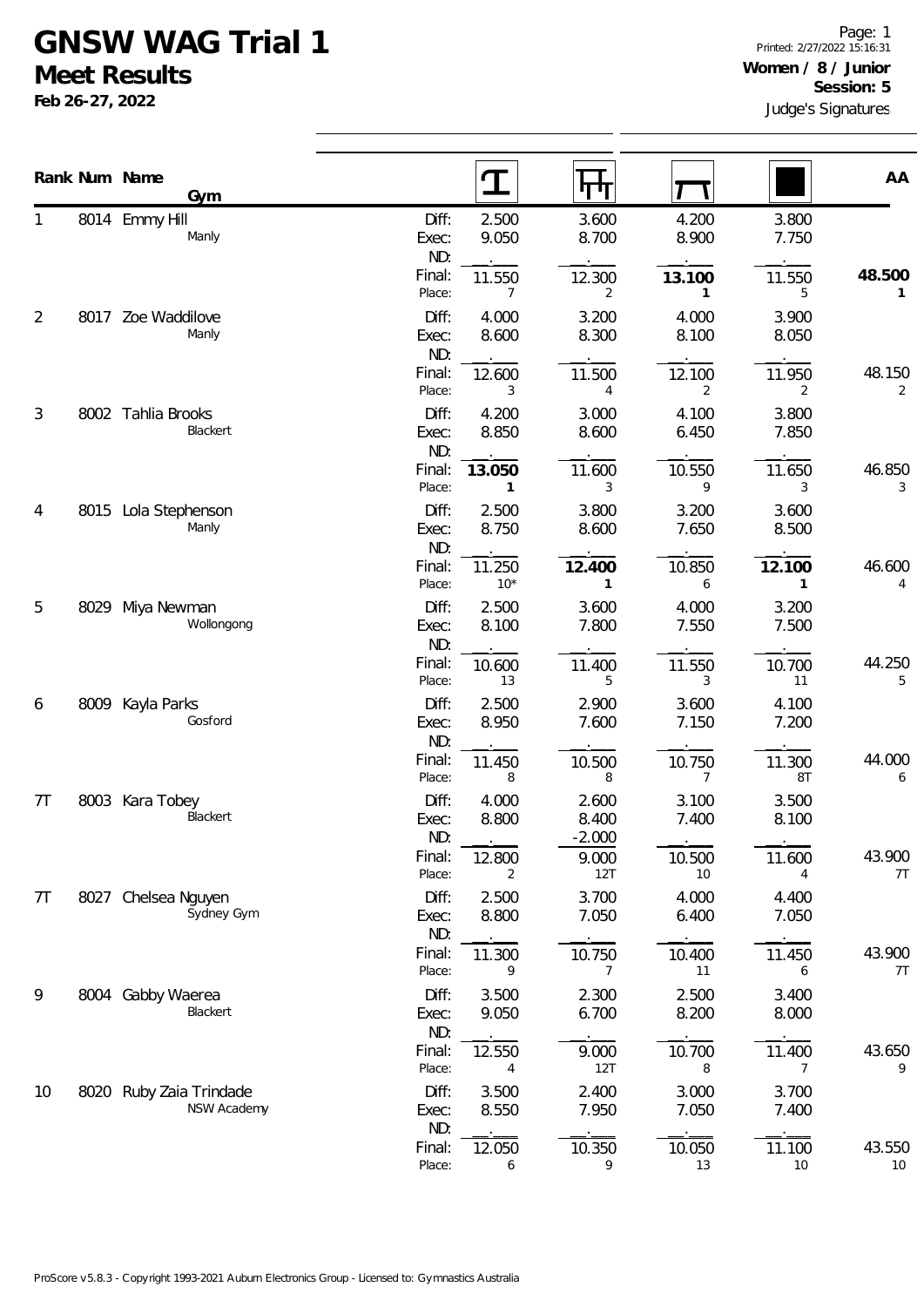## **GNSW WAG Trial 1**

**Meet Results**

**Feb 26-27, 2022**

|    |      | Rank Num Name                          |                       |                        |                            |                          |                | AA           |
|----|------|----------------------------------------|-----------------------|------------------------|----------------------------|--------------------------|----------------|--------------|
|    |      | Gym                                    |                       | ${\bf T}$              | पाग                        |                          |                |              |
| 1  |      | 8014 Emmy Hill<br>Manly                | Diff:<br>Exec:<br>ND: | 2.500<br>9.050         | 3.600<br>8.700             | 4.200<br>8.900           | 3.800<br>7.750 |              |
|    |      |                                        | Final:<br>Place:      | 11.550<br>7            | 12.300<br>2                | 13.100<br>$\mathbf{1}$   | 11.550<br>5    | 48.500<br>1  |
| 2  |      | 8017 Zoe Waddilove<br>Manly            | Diff:<br>Exec:<br>ND: | 4.000<br>8.600         | 3.200<br>8.300             | 4.000<br>8.100           | 3.900<br>8.050 |              |
|    |      |                                        | Final:<br>Place:      | 12.600<br>3            | 11.500<br>4                | 12.100<br>$\overline{2}$ | 11.950<br>2    | 48.150<br>2  |
| 3  |      | 8002 Tahlia Brooks<br>Blackert         | Diff:<br>Exec:<br>ND: | 4.200<br>8.850         | 3.000<br>8.600             | 4.100<br>6.450           | 3.800<br>7.850 |              |
|    |      |                                        | Final:<br>Place:      | 13.050<br>$\mathbf{1}$ | 11.600<br>3                | 10.550<br>9              | 11.650<br>3    | 46.850<br>3  |
| 4  | 8015 | Lola Stephenson<br>Manly               | Diff:<br>Exec:<br>ND: | 2.500<br>8.750         | 3.800<br>8.600             | 3.200<br>7.650           | 3.600<br>8.500 |              |
|    |      |                                        | Final:<br>Place:      | 11.250<br>$10*$        | 12.400<br>$\mathbf{1}$     | 10.850<br>6              | 12.100<br>1    | 46.600<br>4  |
| 5  | 8029 | Miya Newman<br>Wollongong              | Diff:<br>Exec:<br>ND: | 2.500<br>8.100         | 3.600<br>7.800             | 4.000<br>7.550           | 3.200<br>7.500 |              |
|    |      |                                        | Final:<br>Place:      | 10.600<br>13           | 11.400<br>5                | 11.550<br>3              | 10.700<br>11   | 44.250<br>5  |
| 6  | 8009 | Kayla Parks<br>Gosford                 | Diff:<br>Exec:<br>ND: | 2.500<br>8.950         | 2.900<br>7.600             | 3.600<br>7.150           | 4.100<br>7.200 |              |
|    |      |                                        | Final:<br>Place:      | 11.450<br>8            | 10.500<br>8                | 10.750<br>7              | 11.300<br>8T   | 44.000<br>6  |
| 7T | 8003 | Kara Tobey<br>Blackert                 | Diff:<br>Exec:<br>ND: | 4.000<br>8.800         | 2.600<br>8.400<br>$-2.000$ | 3.100<br>7.400           | 3.500<br>8.100 |              |
|    |      |                                        | Final:<br>Place:      | 12.800<br>2            | 9.000<br>12T               | 10.500<br>10             | 11.600<br>4    | 43.900<br>7T |
| 7T |      | 8027 Chelsea Nguyen<br>Sydney Gym      | Diff:<br>Exec:<br>ND: | 2.500<br>8.800         | 3.700<br>7.050             | 4.000<br>6.400           | 4.400<br>7.050 |              |
|    |      |                                        | Final:<br>Place:      | 11.300<br>9            | 10.750<br>7                | 10.400<br>11             | 11.450<br>6    | 43.900<br>7T |
| 9  | 8004 | Gabby Waerea<br>Blackert               | Diff:<br>Exec:<br>ND: | 3.500<br>9.050         | 2.300<br>6.700             | 2.500<br>8.200           | 3.400<br>8.000 |              |
|    |      |                                        | Final:<br>Place:      | 12.550<br>4            | 9.000<br>12T               | 10.700<br>8              | 11.400<br>7    | 43.650<br>9  |
| 10 |      | 8020 Ruby Zaia Trindade<br>NSW Academy | Diff:<br>Exec:<br>ND: | 3.500<br>8.550         | 2.400<br>7.950             | 3.000<br>7.050           | 3.700<br>7.400 |              |
|    |      |                                        | Final:<br>Place:      | 12.050<br>6            | 10.350<br>9                | 10.050<br>13             | 11.100<br>10   | 43.550<br>10 |